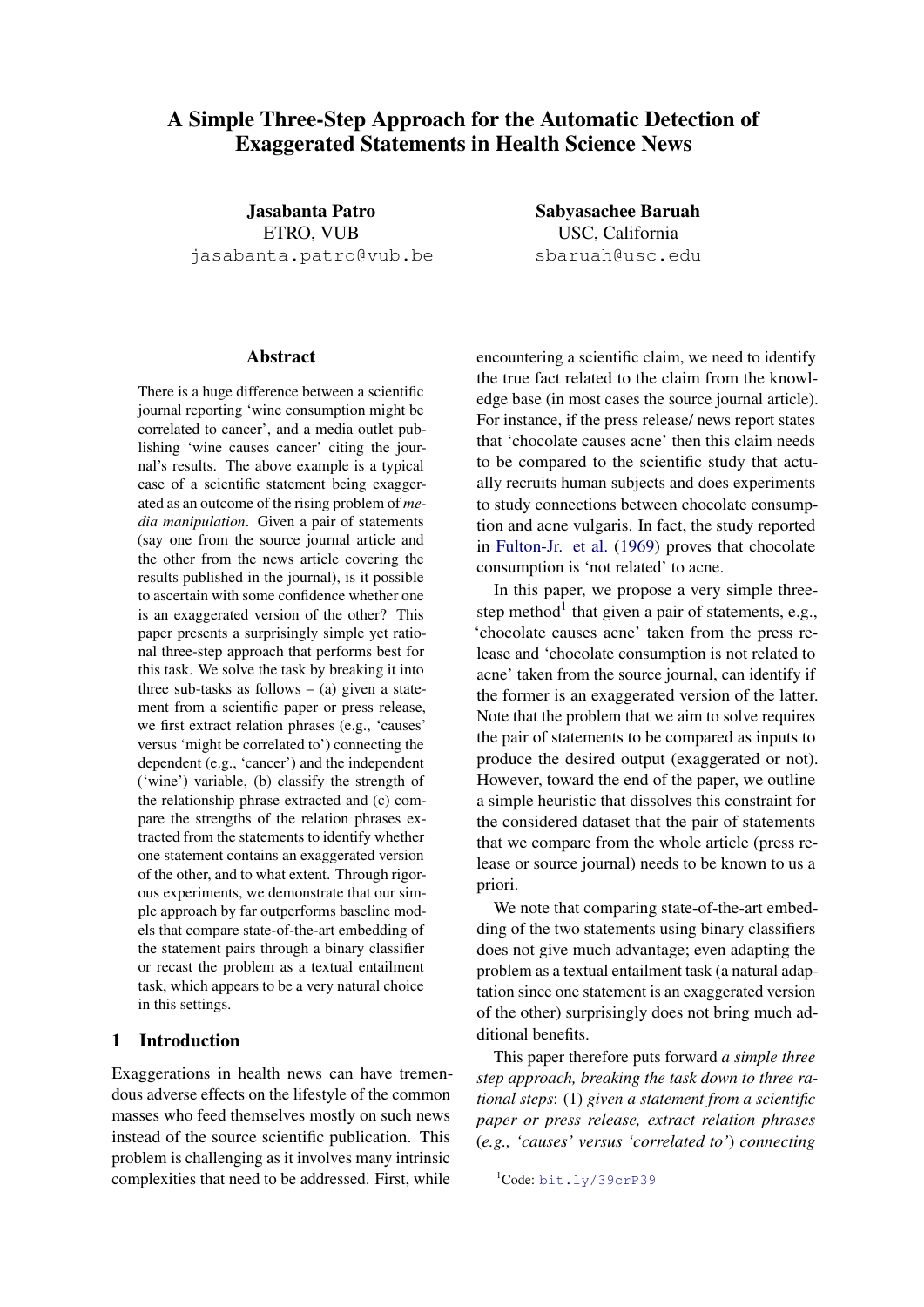# A Simple Three-Step Approach for the Automatic Detection of Exaggerated Statements in Health Science News

Jasabanta Patro ETRO, VUB jasabanta.patro@vub.be

#### Abstract

There is a huge difference between a scientific journal reporting 'wine consumption might be correlated to cancer', and a media outlet publishing 'wine causes cancer' citing the journal's results. The above example is a typical case of a scientific statement being exaggerated as an outcome of the rising problem of *media manipulation*. Given a pair of statements (say one from the source journal article and the other from the news article covering the results published in the journal), is it possible to ascertain with some confidence whether one is an exaggerated version of the other? This paper presents a surprisingly simple yet rational three-step approach that performs best for this task. We solve the task by breaking it into three sub-tasks as follows  $-$  (a) given a statement from a scientific paper or press release, we first extract relation phrases (e.g., 'causes' versus 'might be correlated to') connecting the dependent (e.g., 'cancer') and the independent ('wine') variable, (b) classify the strength of the relationship phrase extracted and (c) compare the strengths of the relation phrases extracted from the statements to identify whether one statement contains an exaggerated version of the other, and to what extent. Through rigorous experiments, we demonstrate that our simple approach by far outperforms baseline models that compare state-of-the-art embedding of the statement pairs through a binary classifier or recast the problem as a textual entailment task, which appears to be a very natural choice in this settings.

## 1 Introduction

Exaggerations in health news can have tremendous adverse effects on the lifestyle of the common masses who feed themselves mostly on such news instead of the source scientific publication. This problem is challenging as it involves many intrinsic complexities that need to be addressed. First, while

Sabyasachee Baruah USC, California sbaruah@usc.edu

encountering a scientific claim, we need to identify the true fact related to the claim from the knowledge base (in most cases the source journal article). For instance, if the press release/ news report states that 'chocolate causes acne' then this claim needs to be compared to the scientific study that actually recruits human subjects and does experiments to study connections between chocolate consumption and acne vulgaris. In fact, the study reported in [Fulton-Jr. et al.](#page-8-0) [\(1969\)](#page-8-0) proves that chocolate consumption is 'not related' to acne.

In this paper, we propose a very simple three-step method<sup>[1](#page-0-0)</sup> that given a pair of statements, e.g., 'chocolate causes acne' taken from the press release and 'chocolate consumption is not related to acne' taken from the source journal, can identify if the former is an exaggerated version of the latter. Note that the problem that we aim to solve requires the pair of statements to be compared as inputs to produce the desired output (exaggerated or not). However, toward the end of the paper, we outline a simple heuristic that dissolves this constraint for the considered dataset that the pair of statements that we compare from the whole article (press release or source journal) needs to be known to us a priori.

We note that comparing state-of-the-art embedding of the two statements using binary classifiers does not give much advantage; even adapting the problem as a textual entailment task (a natural adaptation since one statement is an exaggerated version of the other) surprisingly does not bring much additional benefits.

This paper therefore puts forward *a simple three step approach, breaking the task down to three rational steps*: (1) *given a statement from a scientific paper or press release, extract relation phrases* (*e.g., 'causes' versus 'correlated to'*) *connecting*

<span id="page-0-0"></span><sup>&</sup>lt;sup>1</sup>Code: <bit.ly/39crP39>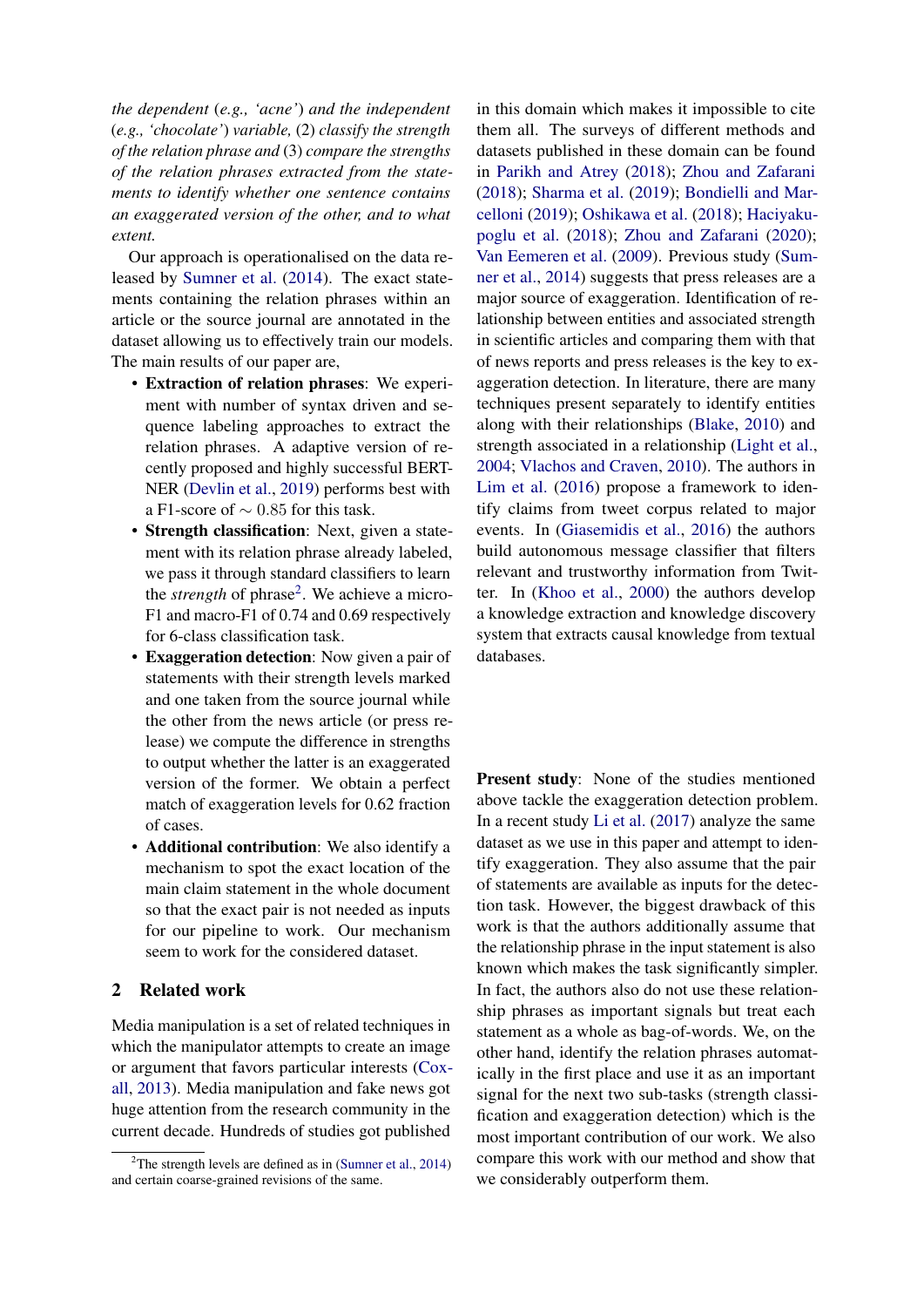*the dependent* (*e.g., 'acne'*) *and the independent* (*e.g., 'chocolate'*) *variable,* (2) *classify the strength of the relation phrase and* (3) *compare the strengths of the relation phrases extracted from the statements to identify whether one sentence contains an exaggerated version of the other, and to what extent.*

Our approach is operationalised on the data released by [Sumner et al.](#page-8-1) [\(2014\)](#page-8-1). The exact statements containing the relation phrases within an article or the source journal are annotated in the dataset allowing us to effectively train our models. The main results of our paper are,

- Extraction of relation phrases: We experiment with number of syntax driven and sequence labeling approaches to extract the relation phrases. A adaptive version of recently proposed and highly successful BERT-NER [\(Devlin et al.,](#page-8-2) [2019\)](#page-8-2) performs best with a F1-score of ∼ 0.85 for this task.
- Strength classification: Next, given a statement with its relation phrase already labeled, we pass it through standard classifiers to learn the *strength* of phrase<sup>[2](#page-1-0)</sup>. We achieve a micro-F1 and macro-F1 of 0.74 and 0.69 respectively for 6-class classification task.
- Exaggeration detection: Now given a pair of statements with their strength levels marked and one taken from the source journal while the other from the news article (or press release) we compute the difference in strengths to output whether the latter is an exaggerated version of the former. We obtain a perfect match of exaggeration levels for 0.62 fraction of cases.
- Additional contribution: We also identify a mechanism to spot the exact location of the main claim statement in the whole document so that the exact pair is not needed as inputs for our pipeline to work. Our mechanism seem to work for the considered dataset.

## 2 Related work

Media manipulation is a set of related techniques in which the manipulator attempts to create an image or argument that favors particular interests [\(Cox](#page-8-3)[all,](#page-8-3) [2013\)](#page-8-3). Media manipulation and fake news got huge attention from the research community in the current decade. Hundreds of studies got published

in this domain which makes it impossible to cite them all. The surveys of different methods and datasets published in these domain can be found in [Parikh and Atrey](#page-8-4) [\(2018\)](#page-8-4); [Zhou and Zafarani](#page-8-5) [\(2018\)](#page-8-5); [Sharma et al.](#page-8-6) [\(2019\)](#page-8-6); [Bondielli and Mar](#page-8-7)[celloni](#page-8-7) [\(2019\)](#page-8-7); [Oshikawa et al.](#page-8-8) [\(2018\)](#page-8-8); [Haciyaku](#page-8-9)[poglu et al.](#page-8-9) [\(2018\)](#page-8-9); [Zhou and Zafarani](#page-8-10) [\(2020\)](#page-8-10); [Van Eemeren et al.](#page-8-11) [\(2009\)](#page-8-11). Previous study [\(Sum](#page-8-1)[ner et al.,](#page-8-1) [2014\)](#page-8-1) suggests that press releases are a major source of exaggeration. Identification of relationship between entities and associated strength in scientific articles and comparing them with that of news reports and press releases is the key to exaggeration detection. In literature, there are many techniques present separately to identify entities along with their relationships [\(Blake,](#page-8-12) [2010\)](#page-8-12) and strength associated in a relationship [\(Light et al.,](#page-8-13) [2004;](#page-8-13) [Vlachos and Craven,](#page-8-14) [2010\)](#page-8-14). The authors in [Lim et al.](#page-8-15) [\(2016\)](#page-8-15) propose a framework to identify claims from tweet corpus related to major events. In [\(Giasemidis et al.,](#page-8-16) [2016\)](#page-8-16) the authors build autonomous message classifier that filters relevant and trustworthy information from Twitter. In [\(Khoo et al.,](#page-8-17) [2000\)](#page-8-17) the authors develop a knowledge extraction and knowledge discovery system that extracts causal knowledge from textual databases.

Present study: None of the studies mentioned above tackle the exaggeration detection problem. In a recent study [Li et al.](#page-8-18) [\(2017\)](#page-8-18) analyze the same dataset as we use in this paper and attempt to identify exaggeration. They also assume that the pair of statements are available as inputs for the detection task. However, the biggest drawback of this work is that the authors additionally assume that the relationship phrase in the input statement is also known which makes the task significantly simpler. In fact, the authors also do not use these relationship phrases as important signals but treat each statement as a whole as bag-of-words. We, on the other hand, identify the relation phrases automatically in the first place and use it as an important signal for the next two sub-tasks (strength classification and exaggeration detection) which is the most important contribution of our work. We also compare this work with our method and show that we considerably outperform them.

<span id="page-1-0"></span><sup>&</sup>lt;sup>2</sup>The strength levels are defined as in [\(Sumner et al.,](#page-8-1) [2014\)](#page-8-1) and certain coarse-grained revisions of the same.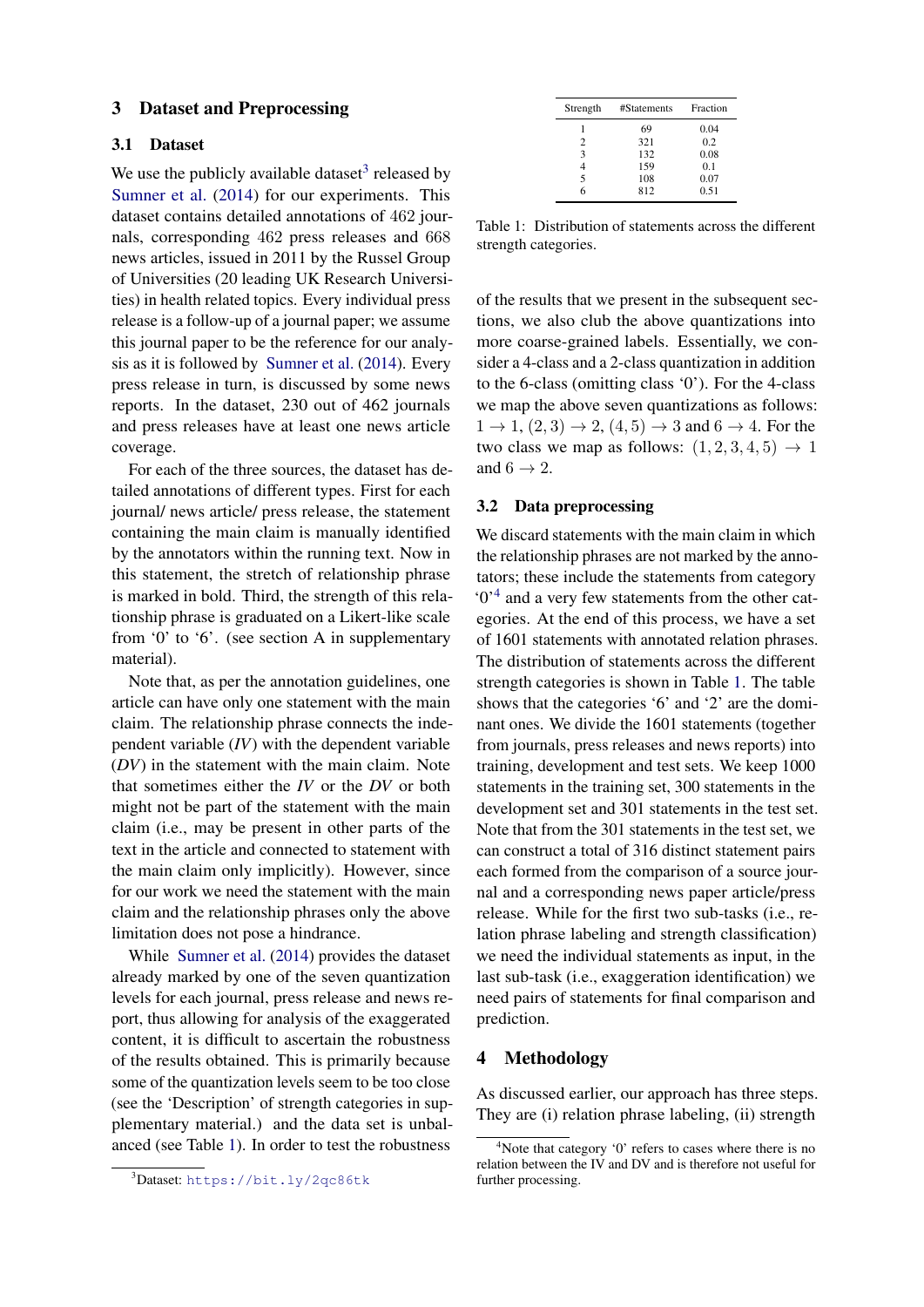#### 3 Dataset and Preprocessing

#### 3.1 Dataset

We use the publicly available dataset<sup>[3](#page-2-0)</sup> released by [Sumner et al.](#page-8-1) [\(2014\)](#page-8-1) for our experiments. This dataset contains detailed annotations of 462 journals, corresponding 462 press releases and 668 news articles, issued in 2011 by the Russel Group of Universities (20 leading UK Research Universities) in health related topics. Every individual press release is a follow-up of a journal paper; we assume this journal paper to be the reference for our analysis as it is followed by [Sumner et al.](#page-8-1) [\(2014\)](#page-8-1). Every press release in turn, is discussed by some news reports. In the dataset, 230 out of 462 journals and press releases have at least one news article coverage.

For each of the three sources, the dataset has detailed annotations of different types. First for each journal/ news article/ press release, the statement containing the main claim is manually identified by the annotators within the running text. Now in this statement, the stretch of relationship phrase is marked in bold. Third, the strength of this relationship phrase is graduated on a Likert-like scale from '0' to '6'. (see section A in supplementary material).

Note that, as per the annotation guidelines, one article can have only one statement with the main claim. The relationship phrase connects the independent variable (*IV*) with the dependent variable (*DV*) in the statement with the main claim. Note that sometimes either the *IV* or the *DV* or both might not be part of the statement with the main claim (i.e., may be present in other parts of the text in the article and connected to statement with the main claim only implicitly). However, since for our work we need the statement with the main claim and the relationship phrases only the above limitation does not pose a hindrance.

While [Sumner et al.](#page-8-1) [\(2014\)](#page-8-1) provides the dataset already marked by one of the seven quantization levels for each journal, press release and news report, thus allowing for analysis of the exaggerated content, it is difficult to ascertain the robustness of the results obtained. This is primarily because some of the quantization levels seem to be too close (see the 'Description' of strength categories in supplementary material.) and the data set is unbalanced (see Table [1\)](#page-2-1). In order to test the robustness

<span id="page-2-1"></span>

| Strength | #Statements | Fraction |
|----------|-------------|----------|
|          | 69          | 0.04     |
| 2        | 321         | 0.2      |
| 3        | 132         | 0.08     |
|          | 159         | 0.1      |
| 5        | 108         | 0.07     |
|          | 812         | 0.51     |

Table 1: Distribution of statements across the different strength categories.

of the results that we present in the subsequent sections, we also club the above quantizations into more coarse-grained labels. Essentially, we consider a 4-class and a 2-class quantization in addition to the 6-class (omitting class '0'). For the 4-class we map the above seven quantizations as follows:  $1 \rightarrow 1$ ,  $(2, 3) \rightarrow 2$ ,  $(4, 5) \rightarrow 3$  and  $6 \rightarrow 4$ . For the two class we map as follows:  $(1, 2, 3, 4, 5) \rightarrow 1$ and  $6 \rightarrow 2$ .

## 3.2 Data preprocessing

We discard statements with the main claim in which the relationship phrases are not marked by the annotators; these include the statements from category '0'[4](#page-2-2) and a very few statements from the other categories. At the end of this process, we have a set of 1601 statements with annotated relation phrases. The distribution of statements across the different strength categories is shown in Table [1.](#page-2-1) The table shows that the categories '6' and '2' are the dominant ones. We divide the 1601 statements (together from journals, press releases and news reports) into training, development and test sets. We keep 1000 statements in the training set, 300 statements in the development set and 301 statements in the test set. Note that from the 301 statements in the test set, we can construct a total of 316 distinct statement pairs each formed from the comparison of a source journal and a corresponding news paper article/press release. While for the first two sub-tasks (i.e., relation phrase labeling and strength classification) we need the individual statements as input, in the last sub-task (i.e., exaggeration identification) we need pairs of statements for final comparison and prediction.

#### 4 Methodology

As discussed earlier, our approach has three steps. They are (i) relation phrase labeling, (ii) strength

<span id="page-2-0"></span><sup>3</sup>Dataset: <https://bit.ly/2qc86tk>

<span id="page-2-2"></span> $4$ Note that category  $0$ ' refers to cases where there is no relation between the IV and DV and is therefore not useful for further processing.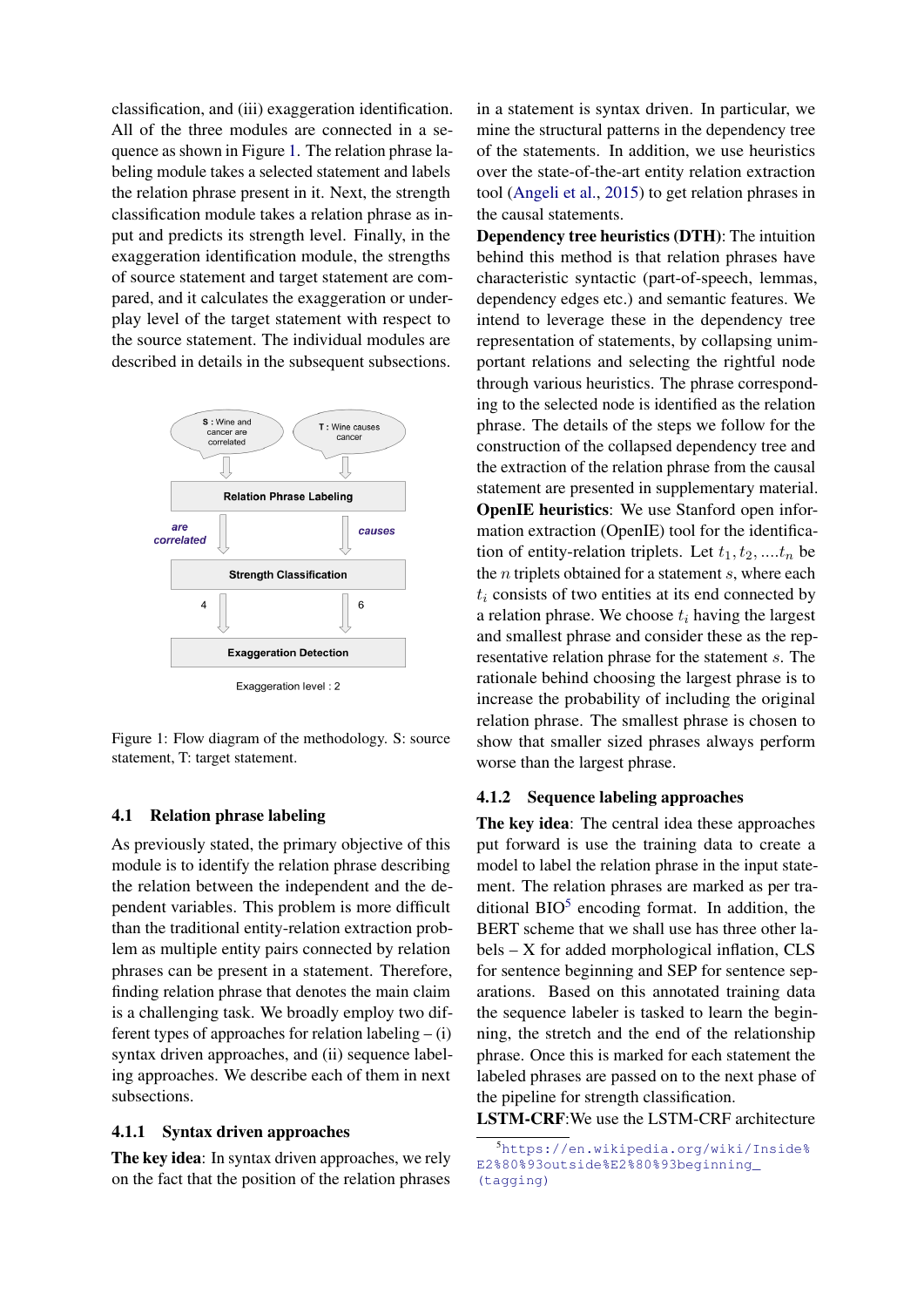classification, and (iii) exaggeration identification. All of the three modules are connected in a sequence as shown in Figure [1.](#page-3-0) The relation phrase labeling module takes a selected statement and labels the relation phrase present in it. Next, the strength classification module takes a relation phrase as input and predicts its strength level. Finally, in the exaggeration identification module, the strengths of source statement and target statement are compared, and it calculates the exaggeration or underplay level of the target statement with respect to the source statement. The individual modules are described in details in the subsequent subsections.

<span id="page-3-0"></span>

Figure 1: Flow diagram of the methodology. S: source statement, T: target statement.

#### 4.1 Relation phrase labeling

As previously stated, the primary objective of this module is to identify the relation phrase describing the relation between the independent and the dependent variables. This problem is more difficult than the traditional entity-relation extraction problem as multiple entity pairs connected by relation phrases can be present in a statement. Therefore, finding relation phrase that denotes the main claim is a challenging task. We broadly employ two different types of approaches for relation labeling  $-$  (i) syntax driven approaches, and (ii) sequence labeling approaches. We describe each of them in next subsections.

#### 4.1.1 Syntax driven approaches

The key idea: In syntax driven approaches, we rely on the fact that the position of the relation phrases

in a statement is syntax driven. In particular, we mine the structural patterns in the dependency tree of the statements. In addition, we use heuristics over the state-of-the-art entity relation extraction tool [\(Angeli et al.,](#page-8-19) [2015\)](#page-8-19) to get relation phrases in the causal statements.

Dependency tree heuristics (DTH): The intuition behind this method is that relation phrases have characteristic syntactic (part-of-speech, lemmas, dependency edges etc.) and semantic features. We intend to leverage these in the dependency tree representation of statements, by collapsing unimportant relations and selecting the rightful node through various heuristics. The phrase corresponding to the selected node is identified as the relation phrase. The details of the steps we follow for the construction of the collapsed dependency tree and the extraction of the relation phrase from the causal statement are presented in supplementary material. OpenIE heuristics: We use Stanford open information extraction (OpenIE) tool for the identification of entity-relation triplets. Let  $t_1, t_2, \ldots, t_n$  be the  $n$  triplets obtained for a statement  $s$ , where each  $t_i$  consists of two entities at its end connected by a relation phrase. We choose  $t_i$  having the largest and smallest phrase and consider these as the representative relation phrase for the statement s. The rationale behind choosing the largest phrase is to increase the probability of including the original relation phrase. The smallest phrase is chosen to show that smaller sized phrases always perform worse than the largest phrase.

#### 4.1.2 Sequence labeling approaches

The key idea: The central idea these approaches put forward is use the training data to create a model to label the relation phrase in the input statement. The relation phrases are marked as per traditional  $BIO<sup>5</sup>$  $BIO<sup>5</sup>$  $BIO<sup>5</sup>$  encoding format. In addition, the BERT scheme that we shall use has three other labels – X for added morphological inflation, CLS for sentence beginning and SEP for sentence separations. Based on this annotated training data the sequence labeler is tasked to learn the beginning, the stretch and the end of the relationship phrase. Once this is marked for each statement the labeled phrases are passed on to the next phase of the pipeline for strength classification.

LSTM-CRF:We use the LSTM-CRF architecture

<span id="page-3-1"></span><sup>5</sup>[https://en.wikipedia.org/wiki/Inside%](https://en.wikipedia.org/wiki/Inside%E2%80%93outside%E2%80%93beginning_(tagging)) [E2%80%93outside%E2%80%93beginning\\_](https://en.wikipedia.org/wiki/Inside%E2%80%93outside%E2%80%93beginning_(tagging)) [\(tagging\)](https://en.wikipedia.org/wiki/Inside%E2%80%93outside%E2%80%93beginning_(tagging))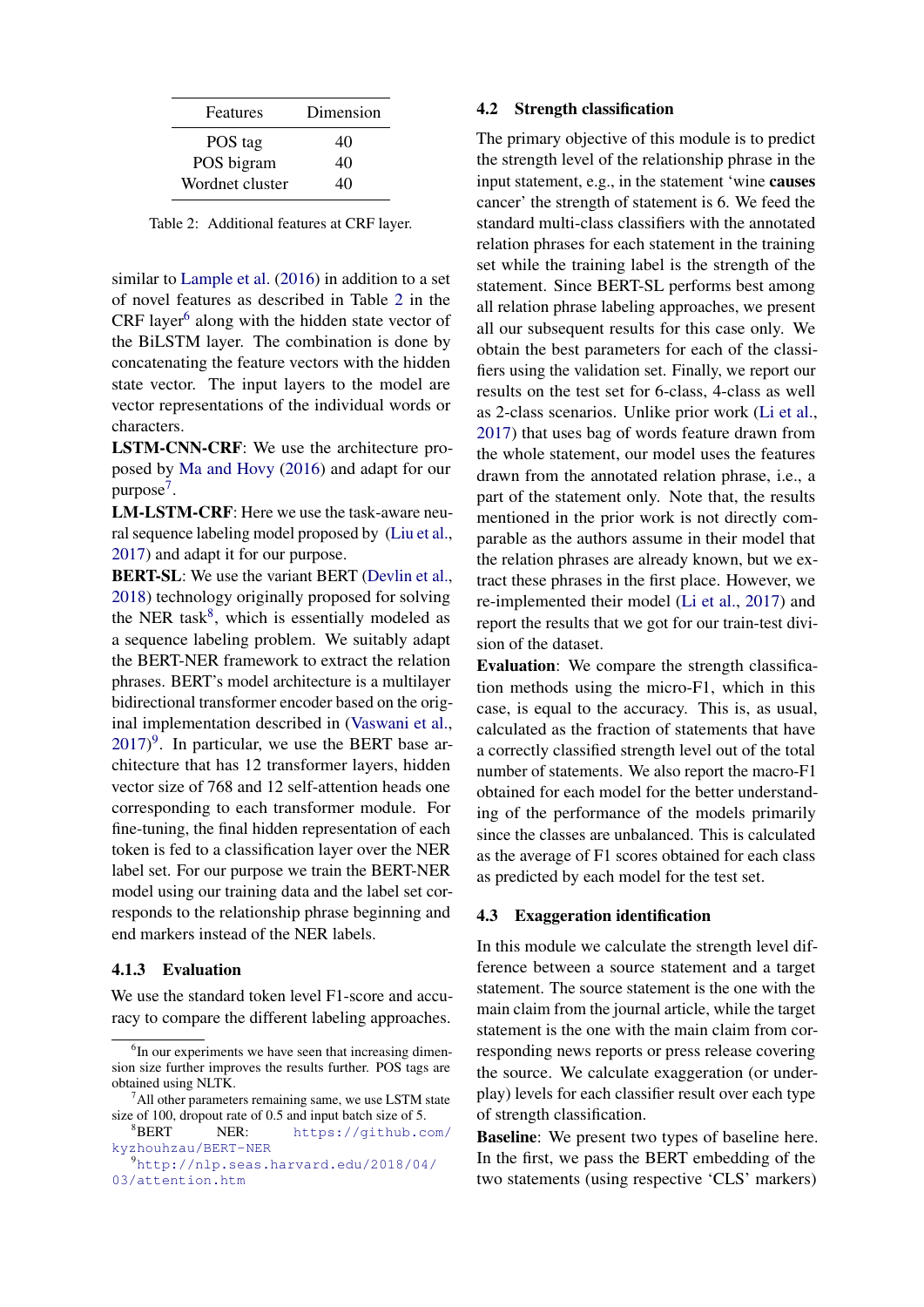<span id="page-4-0"></span>

| Features        | Dimension |
|-----------------|-----------|
| POS tag         | 40        |
| POS bigram      | 40        |
| Wordnet cluster | 40        |

Table 2: Additional features at CRF layer.

similar to [Lample et al.](#page-8-20) [\(2016\)](#page-8-20) in addition to a set of novel features as described in Table [2](#page-4-0) in the  $CRF$  layer $^6$  $^6$  along with the hidden state vector of the BiLSTM layer. The combination is done by concatenating the feature vectors with the hidden state vector. The input layers to the model are vector representations of the individual words or characters.

LSTM-CNN-CRF: We use the architecture proposed by [Ma and Hovy](#page-8-21) [\(2016\)](#page-8-21) and adapt for our purpose<sup>[7](#page-4-2)</sup>.

LM-LSTM-CRF: Here we use the task-aware neural sequence labeling model proposed by [\(Liu et al.,](#page-8-22) [2017\)](#page-8-22) and adapt it for our purpose.

**BERT-SL:** We use the variant BERT [\(Devlin et al.,](#page-8-23) [2018\)](#page-8-23) technology originally proposed for solving the NER task<sup>[8](#page-4-3)</sup>, which is essentially modeled as a sequence labeling problem. We suitably adapt the BERT-NER framework to extract the relation phrases. BERT's model architecture is a multilayer bidirectional transformer encoder based on the original implementation described in [\(Vaswani et al.,](#page-8-24)  $2017$ <sup>[9](#page-4-4)</sup>. In particular, we use the BERT base architecture that has 12 transformer layers, hidden vector size of 768 and 12 self-attention heads one corresponding to each transformer module. For fine-tuning, the final hidden representation of each token is fed to a classification layer over the NER label set. For our purpose we train the BERT-NER model using our training data and the label set corresponds to the relationship phrase beginning and end markers instead of the NER labels.

#### 4.1.3 Evaluation

We use the standard token level F1-score and accuracy to compare the different labeling approaches.

## 4.2 Strength classification

The primary objective of this module is to predict the strength level of the relationship phrase in the input statement, e.g., in the statement 'wine causes cancer' the strength of statement is 6. We feed the standard multi-class classifiers with the annotated relation phrases for each statement in the training set while the training label is the strength of the statement. Since BERT-SL performs best among all relation phrase labeling approaches, we present all our subsequent results for this case only. We obtain the best parameters for each of the classifiers using the validation set. Finally, we report our results on the test set for 6-class, 4-class as well as 2-class scenarios. Unlike prior work [\(Li et al.,](#page-8-18) [2017\)](#page-8-18) that uses bag of words feature drawn from the whole statement, our model uses the features drawn from the annotated relation phrase, i.e., a part of the statement only. Note that, the results mentioned in the prior work is not directly comparable as the authors assume in their model that the relation phrases are already known, but we extract these phrases in the first place. However, we re-implemented their model [\(Li et al.,](#page-8-18) [2017\)](#page-8-18) and report the results that we got for our train-test division of the dataset.

Evaluation: We compare the strength classification methods using the micro-F1, which in this case, is equal to the accuracy. This is, as usual, calculated as the fraction of statements that have a correctly classified strength level out of the total number of statements. We also report the macro-F1 obtained for each model for the better understanding of the performance of the models primarily since the classes are unbalanced. This is calculated as the average of F1 scores obtained for each class as predicted by each model for the test set.

#### 4.3 Exaggeration identification

In this module we calculate the strength level difference between a source statement and a target statement. The source statement is the one with the main claim from the journal article, while the target statement is the one with the main claim from corresponding news reports or press release covering the source. We calculate exaggeration (or underplay) levels for each classifier result over each type of strength classification.

Baseline: We present two types of baseline here. In the first, we pass the BERT embedding of the two statements (using respective 'CLS' markers)

<span id="page-4-1"></span><sup>&</sup>lt;sup>6</sup>In our experiments we have seen that increasing dimension size further improves the results further. POS tags are obtained using NLTK.

<span id="page-4-2"></span> $7$ All other parameters remaining same, we use LSTM state size of 100, dropout rate of 0.5 and input batch size of 5.

<span id="page-4-3"></span><sup>8</sup>BERT NER: [https://github.com/](https://github.com/kyzhouhzau/BERT-NER) [kyzhouhzau/BERT-NER](https://github.com/kyzhouhzau/BERT-NER)

<span id="page-4-4"></span><sup>9</sup>[http://nlp.seas.harvard.edu/2018/04/](http://nlp.seas.harvard.edu/2018/04/03/attention.htm) [03/attention.htm](http://nlp.seas.harvard.edu/2018/04/03/attention.htm)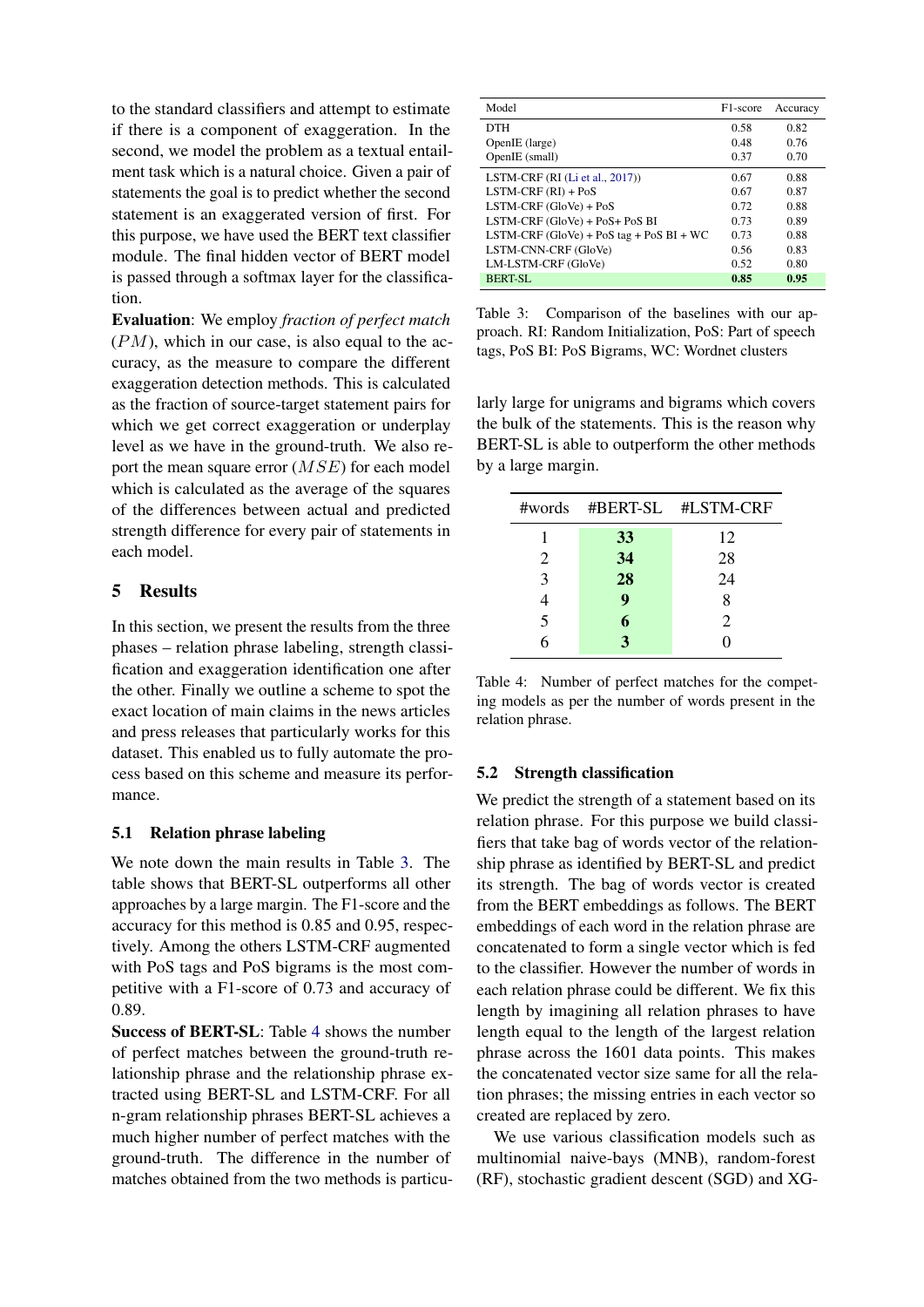to the standard classifiers and attempt to estimate if there is a component of exaggeration. In the second, we model the problem as a textual entailment task which is a natural choice. Given a pair of statements the goal is to predict whether the second statement is an exaggerated version of first. For this purpose, we have used the BERT text classifier module. The final hidden vector of BERT model is passed through a softmax layer for the classification.

Evaluation: We employ *fraction of perfect match*  $(PM)$ , which in our case, is also equal to the accuracy, as the measure to compare the different exaggeration detection methods. This is calculated as the fraction of source-target statement pairs for which we get correct exaggeration or underplay level as we have in the ground-truth. We also report the mean square error (MSE) for each model which is calculated as the average of the squares of the differences between actual and predicted strength difference for every pair of statements in each model.

## 5 Results

In this section, we present the results from the three phases – relation phrase labeling, strength classification and exaggeration identification one after the other. Finally we outline a scheme to spot the exact location of main claims in the news articles and press releases that particularly works for this dataset. This enabled us to fully automate the process based on this scheme and measure its performance.

#### 5.1 Relation phrase labeling

We note down the main results in Table [3.](#page-5-0) The table shows that BERT-SL outperforms all other approaches by a large margin. The F1-score and the accuracy for this method is 0.85 and 0.95, respectively. Among the others LSTM-CRF augmented with PoS tags and PoS bigrams is the most competitive with a F1-score of 0.73 and accuracy of 0.89.

Success of BERT-SL: Table [4](#page-5-1) shows the number of perfect matches between the ground-truth relationship phrase and the relationship phrase extracted using BERT-SL and LSTM-CRF. For all n-gram relationship phrases BERT-SL achieves a much higher number of perfect matches with the ground-truth. The difference in the number of matches obtained from the two methods is particu-

<span id="page-5-0"></span>

| Model                                      | F <sub>1</sub> -score | Accuracy |
|--------------------------------------------|-----------------------|----------|
| <b>DTH</b>                                 | 0.58                  | 0.82     |
| OpenIE (large)                             | 0.48                  | 0.76     |
| OpenIE (small)                             | 0.37                  | 0.70     |
| LSTM-CRF (RI (Li et al., 2017))            | 0.67                  | 0.88     |
| $LSTM-CRF (RI) + PoS$                      | 0.67                  | 0.87     |
| $LSTM-CRF(GloVe) + PoS$                    | 0.72                  | 0.88     |
| LSTM-CRF (GloVe) + PoS+ PoS BI             | 0.73                  | 0.89     |
| LSTM-CRF $(GloVe)$ + PoS tag + PoS BI + WC | 0.73                  | 0.88     |
| LSTM-CNN-CRF (GloVe)                       | 0.56                  | 0.83     |
| LM-LSTM-CRF (GloVe)                        | 0.52                  | 0.80     |
| BERT-SL                                    | 0.85                  | 0.95     |

Table 3: Comparison of the baselines with our approach. RI: Random Initialization, PoS: Part of speech tags, PoS BI: PoS Bigrams, WC: Wordnet clusters

larly large for unigrams and bigrams which covers the bulk of the statements. This is the reason why BERT-SL is able to outperform the other methods by a large margin.

<span id="page-5-1"></span>

|                |              | #words #BERT-SL #LSTM-CRF |
|----------------|--------------|---------------------------|
|                | 33           | 12                        |
| $\overline{2}$ | 34           | 28                        |
| 3              | 28           | 24                        |
|                | 9            | 8                         |
| 5              | 6            | 2                         |
| 6              | $\mathbf{3}$ |                           |

|                  | Table 4: Number of perfect matches for the compet-   |
|------------------|------------------------------------------------------|
|                  | ing models as per the number of words present in the |
| relation phrase. |                                                      |

#### 5.2 Strength classification

We predict the strength of a statement based on its relation phrase. For this purpose we build classifiers that take bag of words vector of the relationship phrase as identified by BERT-SL and predict its strength. The bag of words vector is created from the BERT embeddings as follows. The BERT embeddings of each word in the relation phrase are concatenated to form a single vector which is fed to the classifier. However the number of words in each relation phrase could be different. We fix this length by imagining all relation phrases to have length equal to the length of the largest relation phrase across the 1601 data points. This makes the concatenated vector size same for all the relation phrases; the missing entries in each vector so created are replaced by zero.

We use various classification models such as multinomial naive-bays (MNB), random-forest (RF), stochastic gradient descent (SGD) and XG-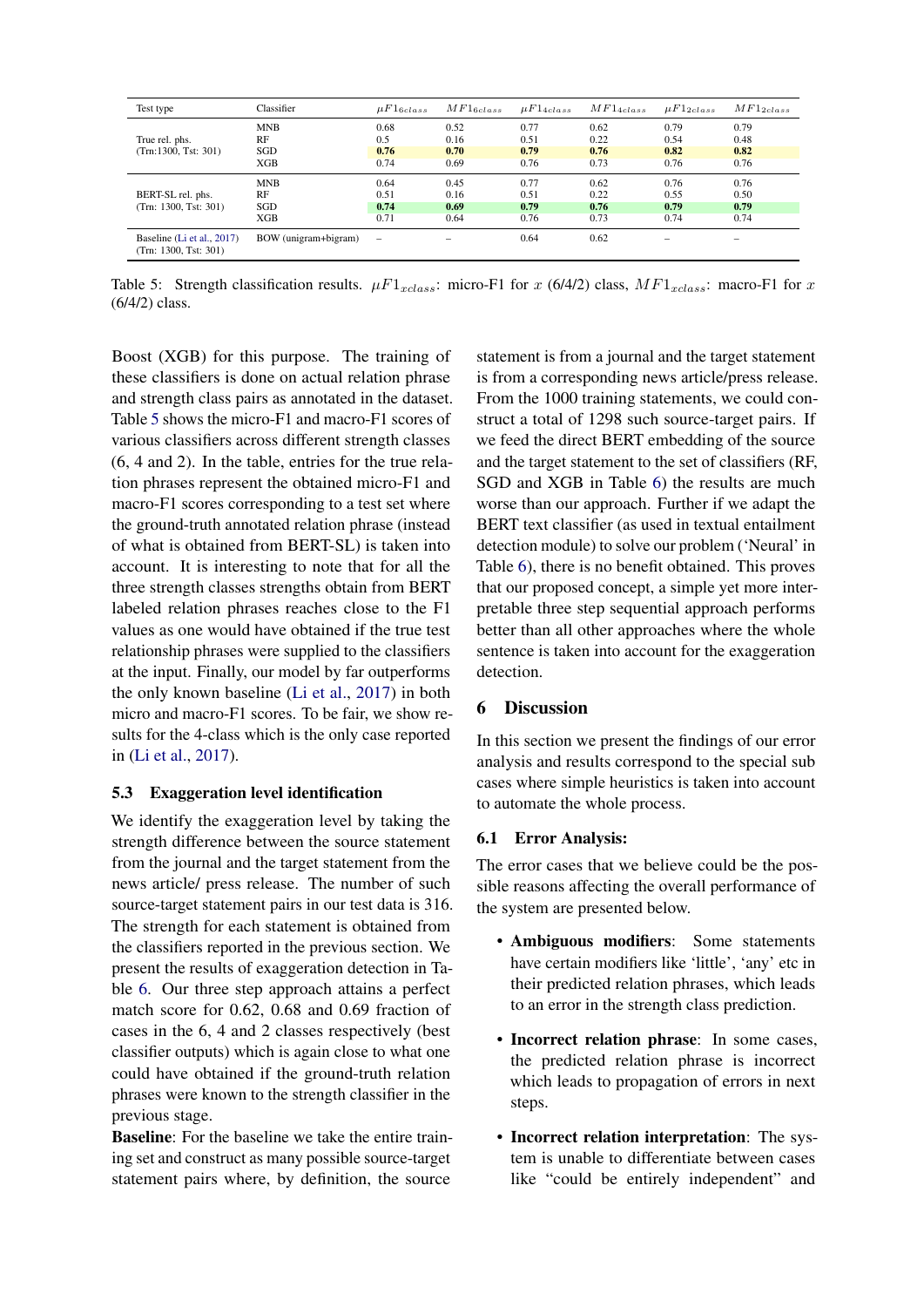<span id="page-6-0"></span>

| Test type                                           | Classifier           | $\mu F1_{6class}$ | $MF1_{6class}$ | $\mu F1_{4class}$ | $MF1_{4class}$ | $\mu F1_{2class}$ | $MF1_{2class}$ |
|-----------------------------------------------------|----------------------|-------------------|----------------|-------------------|----------------|-------------------|----------------|
|                                                     | <b>MNB</b>           | 0.68              | 0.52           | 0.77              | 0.62           | 0.79              | 0.79           |
| True rel. phs.                                      | RF                   | 0.5               | 0.16           | 0.51              | 0.22           | 0.54              | 0.48           |
| (Trn:1300, Tst: 301)                                | SGD                  | 0.76              | 0.70           | 0.79              | 0.76           | 0.82              | 0.82           |
|                                                     | XGB                  | 0.74              | 0.69           | 0.76              | 0.73           | 0.76              | 0.76           |
|                                                     | <b>MNB</b>           | 0.64              | 0.45           | 0.77              | 0.62           | 0.76              | 0.76           |
| BERT-SL rel. phs.                                   | RF                   | 0.51              | 0.16           | 0.51              | 0.22           | 0.55              | 0.50           |
| (Trn: 1300, Tst: 301)                               | SGD                  | 0.74              | 0.69           | 0.79              | 0.76           | 0.79              | 0.79           |
|                                                     | XGB                  | 0.71              | 0.64           | 0.76              | 0.73           | 0.74              | 0.74           |
| Baseline (Li et al., 2017)<br>(Trn: 1300, Tst: 301) | BOW (unigram+bigram) | -                 |                | 0.64              | 0.62           |                   | -              |

Table 5: Strength classification results.  $\mu F1_{xclass}$ : micro-F1 for x (6/4/2) class,  $MF1_{xclass}$ : macro-F1 for x (6/4/2) class.

Boost (XGB) for this purpose. The training of these classifiers is done on actual relation phrase and strength class pairs as annotated in the dataset. Table [5](#page-6-0) shows the micro-F1 and macro-F1 scores of various classifiers across different strength classes (6, 4 and 2). In the table, entries for the true relation phrases represent the obtained micro-F1 and macro-F1 scores corresponding to a test set where the ground-truth annotated relation phrase (instead of what is obtained from BERT-SL) is taken into account. It is interesting to note that for all the three strength classes strengths obtain from BERT labeled relation phrases reaches close to the F1 values as one would have obtained if the true test relationship phrases were supplied to the classifiers at the input. Finally, our model by far outperforms the only known baseline [\(Li et al.,](#page-8-18) [2017\)](#page-8-18) in both micro and macro-F1 scores. To be fair, we show results for the 4-class which is the only case reported in [\(Li et al.,](#page-8-18) [2017\)](#page-8-18).

#### 5.3 Exaggeration level identification

We identify the exaggeration level by taking the strength difference between the source statement from the journal and the target statement from the news article/ press release. The number of such source-target statement pairs in our test data is 316. The strength for each statement is obtained from the classifiers reported in the previous section. We present the results of exaggeration detection in Table [6.](#page-7-0) Our three step approach attains a perfect match score for 0.62, 0.68 and 0.69 fraction of cases in the 6, 4 and 2 classes respectively (best classifier outputs) which is again close to what one could have obtained if the ground-truth relation phrases were known to the strength classifier in the previous stage.

Baseline: For the baseline we take the entire training set and construct as many possible source-target statement pairs where, by definition, the source

statement is from a journal and the target statement is from a corresponding news article/press release. From the 1000 training statements, we could construct a total of 1298 such source-target pairs. If we feed the direct BERT embedding of the source and the target statement to the set of classifiers (RF, SGD and XGB in Table [6\)](#page-7-0) the results are much worse than our approach. Further if we adapt the BERT text classifier (as used in textual entailment detection module) to solve our problem ('Neural' in Table [6\)](#page-7-0), there is no benefit obtained. This proves that our proposed concept, a simple yet more interpretable three step sequential approach performs better than all other approaches where the whole sentence is taken into account for the exaggeration detection.

# 6 Discussion

In this section we present the findings of our error analysis and results correspond to the special sub cases where simple heuristics is taken into account to automate the whole process.

## 6.1 Error Analysis:

The error cases that we believe could be the possible reasons affecting the overall performance of the system are presented below.

- Ambiguous modifiers: Some statements have certain modifiers like 'little', 'any' etc in their predicted relation phrases, which leads to an error in the strength class prediction.
- Incorrect relation phrase: In some cases, the predicted relation phrase is incorrect which leads to propagation of errors in next steps.
- Incorrect relation interpretation: The system is unable to differentiate between cases like "could be entirely independent" and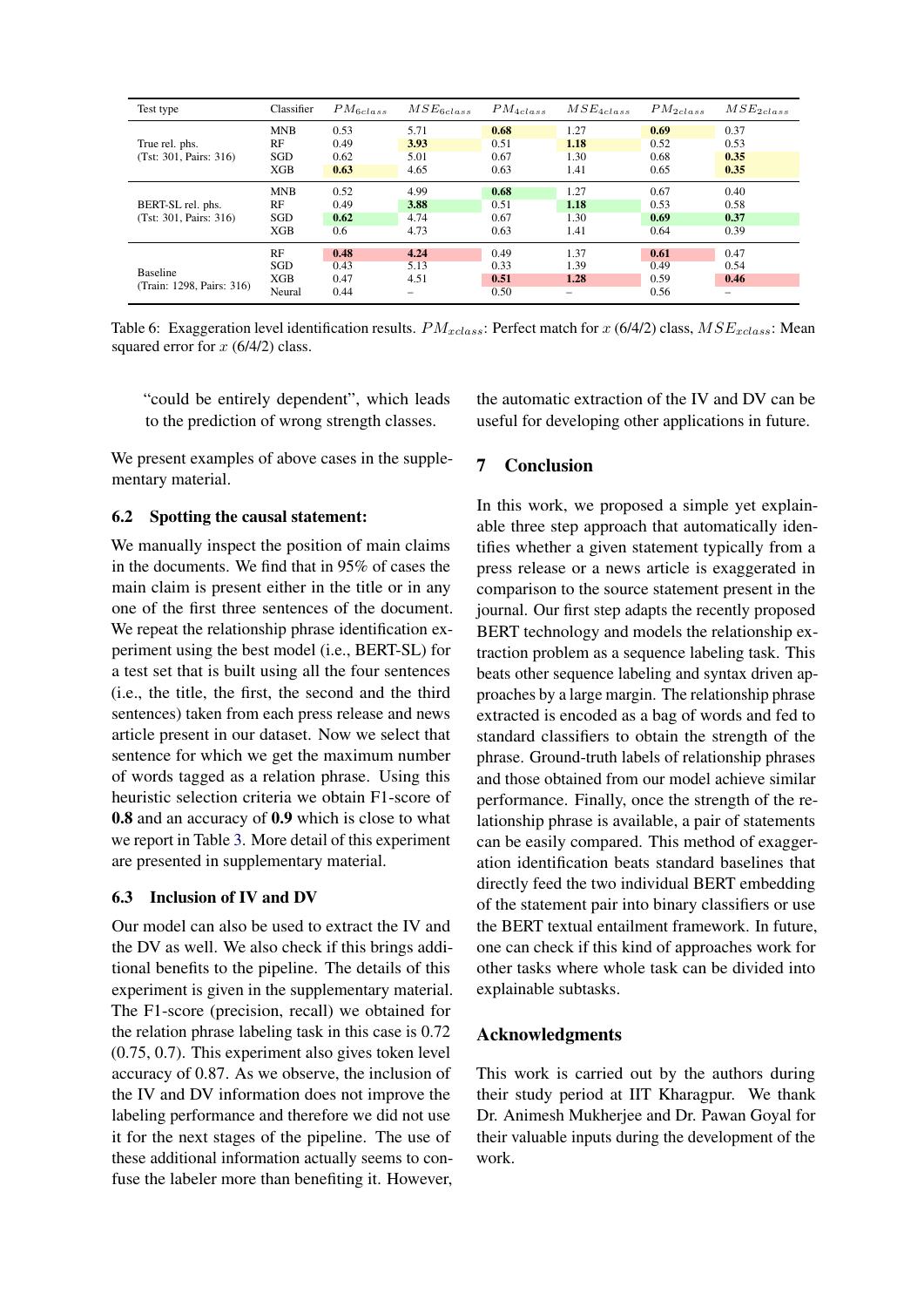<span id="page-7-0"></span>

| Test type                 | Classifier | $PM_{6class}$ | $MSE_{6class}$ | $PM_{4class}$ | $MSE_{4class}$ | $PM_{2class}$ | $MSE_{2class}$ |
|---------------------------|------------|---------------|----------------|---------------|----------------|---------------|----------------|
|                           | <b>MNB</b> | 0.53          | 5.71           | 0.68          | 1.27           | 0.69          | 0.37           |
| True rel. phs.            | RF         | 0.49          | 3.93           | 0.51          | 1.18           | 0.52          | 0.53           |
| (Tst: 301, Pairs: 316)    | SGD        | 0.62          | 5.01           | 0.67          | 1.30           | 0.68          | 0.35           |
|                           | XGB        | 0.63          | 4.65           | 0.63          | 1.41           | 0.65          | 0.35           |
|                           | <b>MNB</b> | 0.52          | 4.99           | 0.68          | 1.27           | 0.67          | 0.40           |
| BERT-SL rel. phs.         | RF         | 0.49          | 3.88           | 0.51          | 1.18           | 0.53          | 0.58           |
| (Tst: 301, Pairs: 316)    | SGD        | 0.62          | 4.74           | 0.67          | 1.30           | 0.69          | 0.37           |
|                           | XGB        | 0.6           | 4.73           | 0.63          | 1.41           | 0.64          | 0.39           |
|                           | RF         | 0.48          | 4.24           | 0.49          | 1.37           | 0.61          | 0.47           |
|                           | SGD        | 0.43          | 5.13           | 0.33          | 1.39           | 0.49          | 0.54           |
| <b>Baseline</b>           | XGB        | 0.47          | 4.51           | 0.51          | 1.28           | 0.59          | 0.46           |
| (Train: 1298, Pairs: 316) | Neural     | 0.44          |                | 0.50          | -              | 0.56          |                |

Table 6: Exaggeration level identification results.  $PM_{xclass}$ : Perfect match for  $x$  (6/4/2) class,  $MSE_{xclass}$ : Mean squared error for  $x$  (6/4/2) class.

"could be entirely dependent", which leads to the prediction of wrong strength classes.

We present examples of above cases in the supplementary material.

## 6.2 Spotting the causal statement:

We manually inspect the position of main claims in the documents. We find that in 95% of cases the main claim is present either in the title or in any one of the first three sentences of the document. We repeat the relationship phrase identification experiment using the best model (i.e., BERT-SL) for a test set that is built using all the four sentences (i.e., the title, the first, the second and the third sentences) taken from each press release and news article present in our dataset. Now we select that sentence for which we get the maximum number of words tagged as a relation phrase. Using this heuristic selection criteria we obtain F1-score of 0.8 and an accuracy of 0.9 which is close to what we report in Table [3.](#page-5-0) More detail of this experiment are presented in supplementary material.

#### 6.3 Inclusion of IV and DV

Our model can also be used to extract the IV and the DV as well. We also check if this brings additional benefits to the pipeline. The details of this experiment is given in the supplementary material. The F1-score (precision, recall) we obtained for the relation phrase labeling task in this case is 0.72 (0.75, 0.7). This experiment also gives token level accuracy of 0.87. As we observe, the inclusion of the IV and DV information does not improve the labeling performance and therefore we did not use it for the next stages of the pipeline. The use of these additional information actually seems to confuse the labeler more than benefiting it. However, the automatic extraction of the IV and DV can be useful for developing other applications in future.

### 7 Conclusion

In this work, we proposed a simple yet explainable three step approach that automatically identifies whether a given statement typically from a press release or a news article is exaggerated in comparison to the source statement present in the journal. Our first step adapts the recently proposed BERT technology and models the relationship extraction problem as a sequence labeling task. This beats other sequence labeling and syntax driven approaches by a large margin. The relationship phrase extracted is encoded as a bag of words and fed to standard classifiers to obtain the strength of the phrase. Ground-truth labels of relationship phrases and those obtained from our model achieve similar performance. Finally, once the strength of the relationship phrase is available, a pair of statements can be easily compared. This method of exaggeration identification beats standard baselines that directly feed the two individual BERT embedding of the statement pair into binary classifiers or use the BERT textual entailment framework. In future, one can check if this kind of approaches work for other tasks where whole task can be divided into explainable subtasks.

#### Acknowledgments

This work is carried out by the authors during their study period at IIT Kharagpur. We thank Dr. Animesh Mukherjee and Dr. Pawan Goyal for their valuable inputs during the development of the work.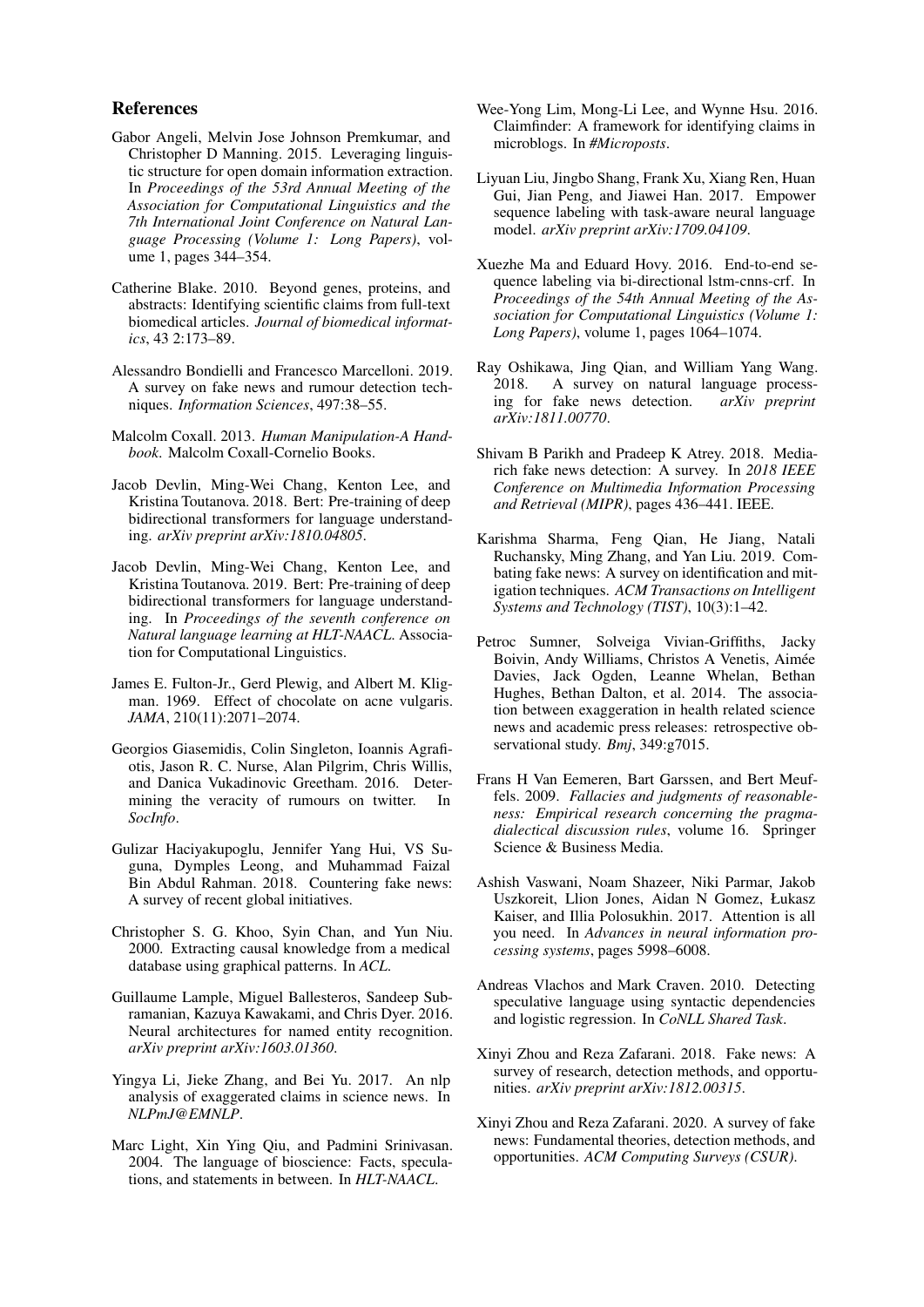#### References

- <span id="page-8-19"></span>Gabor Angeli, Melvin Jose Johnson Premkumar, and Christopher D Manning. 2015. Leveraging linguistic structure for open domain information extraction. In *Proceedings of the 53rd Annual Meeting of the Association for Computational Linguistics and the 7th International Joint Conference on Natural Language Processing (Volume 1: Long Papers)*, volume 1, pages 344–354.
- <span id="page-8-12"></span>Catherine Blake. 2010. Beyond genes, proteins, and abstracts: Identifying scientific claims from full-text biomedical articles. *Journal of biomedical informatics*, 43 2:173–89.
- <span id="page-8-7"></span>Alessandro Bondielli and Francesco Marcelloni. 2019. A survey on fake news and rumour detection techniques. *Information Sciences*, 497:38–55.
- <span id="page-8-3"></span>Malcolm Coxall. 2013. *Human Manipulation-A Handbook*. Malcolm Coxall-Cornelio Books.
- <span id="page-8-23"></span>Jacob Devlin, Ming-Wei Chang, Kenton Lee, and Kristina Toutanova. 2018. Bert: Pre-training of deep bidirectional transformers for language understanding. *arXiv preprint arXiv:1810.04805*.
- <span id="page-8-2"></span>Jacob Devlin, Ming-Wei Chang, Kenton Lee, and Kristina Toutanova. 2019. Bert: Pre-training of deep bidirectional transformers for language understanding. In *Proceedings of the seventh conference on Natural language learning at HLT-NAACL*. Association for Computational Linguistics.
- <span id="page-8-0"></span>James E. Fulton-Jr., Gerd Plewig, and Albert M. Kligman. 1969. Effect of chocolate on acne vulgaris. *JAMA*, 210(11):2071–2074.
- <span id="page-8-16"></span>Georgios Giasemidis, Colin Singleton, Ioannis Agrafiotis, Jason R. C. Nurse, Alan Pilgrim, Chris Willis, and Danica Vukadinovic Greetham. 2016. Determining the veracity of rumours on twitter. In *SocInfo*.
- <span id="page-8-9"></span>Gulizar Haciyakupoglu, Jennifer Yang Hui, VS Suguna, Dymples Leong, and Muhammad Faizal Bin Abdul Rahman. 2018. Countering fake news: A survey of recent global initiatives.
- <span id="page-8-17"></span>Christopher S. G. Khoo, Syin Chan, and Yun Niu. 2000. Extracting causal knowledge from a medical database using graphical patterns. In *ACL*.
- <span id="page-8-20"></span>Guillaume Lample, Miguel Ballesteros, Sandeep Subramanian, Kazuya Kawakami, and Chris Dyer. 2016. Neural architectures for named entity recognition. *arXiv preprint arXiv:1603.01360*.
- <span id="page-8-18"></span>Yingya Li, Jieke Zhang, and Bei Yu. 2017. An nlp analysis of exaggerated claims in science news. In *NLPmJ@EMNLP*.
- <span id="page-8-13"></span>Marc Light, Xin Ying Qiu, and Padmini Srinivasan. 2004. The language of bioscience: Facts, speculations, and statements in between. In *HLT-NAACL*.
- <span id="page-8-15"></span>Wee-Yong Lim, Mong-Li Lee, and Wynne Hsu. 2016. Claimfinder: A framework for identifying claims in microblogs. In *#Microposts*.
- <span id="page-8-22"></span>Liyuan Liu, Jingbo Shang, Frank Xu, Xiang Ren, Huan Gui, Jian Peng, and Jiawei Han. 2017. Empower sequence labeling with task-aware neural language model. *arXiv preprint arXiv:1709.04109*.
- <span id="page-8-21"></span>Xuezhe Ma and Eduard Hovy. 2016. End-to-end sequence labeling via bi-directional lstm-cnns-crf. In *Proceedings of the 54th Annual Meeting of the Association for Computational Linguistics (Volume 1: Long Papers)*, volume 1, pages 1064–1074.
- <span id="page-8-8"></span>Ray Oshikawa, Jing Qian, and William Yang Wang. 2018. A survey on natural language processing for fake news detection. *arXiv preprint arXiv:1811.00770*.
- <span id="page-8-4"></span>Shivam B Parikh and Pradeep K Atrey. 2018. Mediarich fake news detection: A survey. In *2018 IEEE Conference on Multimedia Information Processing and Retrieval (MIPR)*, pages 436–441. IEEE.
- <span id="page-8-6"></span>Karishma Sharma, Feng Qian, He Jiang, Natali Ruchansky, Ming Zhang, and Yan Liu. 2019. Combating fake news: A survey on identification and mitigation techniques. *ACM Transactions on Intelligent Systems and Technology (TIST)*, 10(3):1–42.
- <span id="page-8-1"></span>Petroc Sumner, Solveiga Vivian-Griffiths, Jacky Boivin, Andy Williams, Christos A Venetis, Aimee´ Davies, Jack Ogden, Leanne Whelan, Bethan Hughes, Bethan Dalton, et al. 2014. The association between exaggeration in health related science news and academic press releases: retrospective observational study. *Bmj*, 349:g7015.
- <span id="page-8-11"></span>Frans H Van Eemeren, Bart Garssen, and Bert Meuffels. 2009. *Fallacies and judgments of reasonableness: Empirical research concerning the pragmadialectical discussion rules*, volume 16. Springer Science & Business Media.
- <span id="page-8-24"></span>Ashish Vaswani, Noam Shazeer, Niki Parmar, Jakob Uszkoreit, Llion Jones, Aidan N Gomez, Łukasz Kaiser, and Illia Polosukhin. 2017. Attention is all you need. In *Advances in neural information processing systems*, pages 5998–6008.
- <span id="page-8-14"></span>Andreas Vlachos and Mark Craven. 2010. Detecting speculative language using syntactic dependencies and logistic regression. In *CoNLL Shared Task*.
- <span id="page-8-5"></span>Xinyi Zhou and Reza Zafarani. 2018. Fake news: A survey of research, detection methods, and opportunities. *arXiv preprint arXiv:1812.00315*.
- <span id="page-8-10"></span>Xinyi Zhou and Reza Zafarani. 2020. A survey of fake news: Fundamental theories, detection methods, and opportunities. *ACM Computing Surveys (CSUR)*.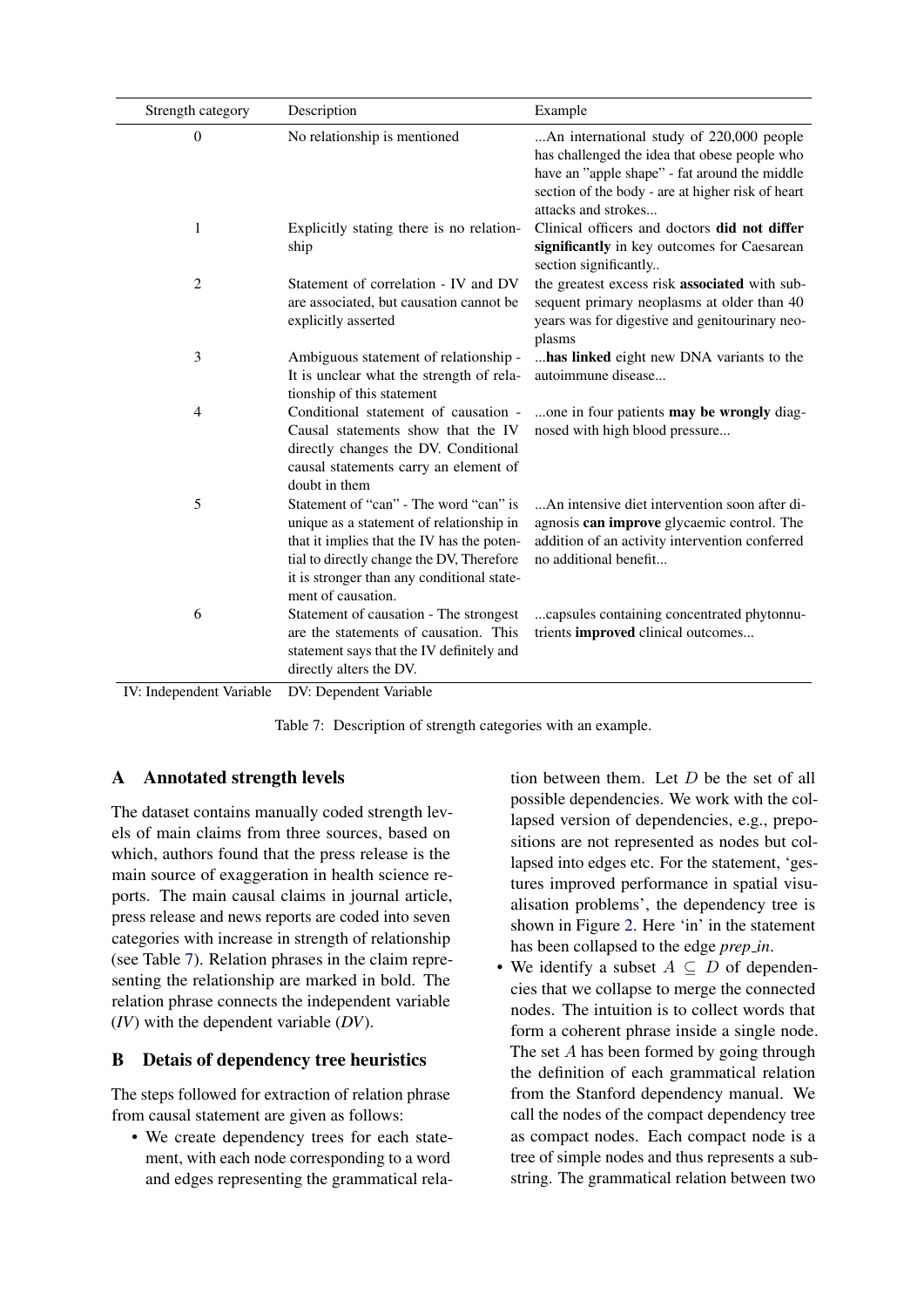<span id="page-9-0"></span>

| Strength category        | Description                                                                                                                                                                                                                                       | Example                                                                                                                                                                                                                |
|--------------------------|---------------------------------------------------------------------------------------------------------------------------------------------------------------------------------------------------------------------------------------------------|------------------------------------------------------------------------------------------------------------------------------------------------------------------------------------------------------------------------|
| $\mathbf{0}$             | No relationship is mentioned                                                                                                                                                                                                                      | An international study of 220,000 people<br>has challenged the idea that obese people who<br>have an "apple shape" - fat around the middle<br>section of the body - are at higher risk of heart<br>attacks and strokes |
| 1                        | Explicitly stating there is no relation-<br>ship                                                                                                                                                                                                  | Clinical officers and doctors did not differ<br>significantly in key outcomes for Caesarean<br>section significantly                                                                                                   |
| $\overline{2}$           | Statement of correlation - IV and DV<br>are associated, but causation cannot be<br>explicitly asserted                                                                                                                                            | the greatest excess risk associated with sub-<br>sequent primary neoplasms at older than 40<br>years was for digestive and genitourinary neo-<br>plasms                                                                |
| 3                        | Ambiguous statement of relationship -<br>It is unclear what the strength of rela-<br>tionship of this statement                                                                                                                                   | has linked eight new DNA variants to the<br>autoimmune disease                                                                                                                                                         |
| $\overline{4}$           | Conditional statement of causation -<br>Causal statements show that the IV<br>directly changes the DV. Conditional<br>causal statements carry an element of<br>doubt in them                                                                      | one in four patients may be wrongly diag-<br>nosed with high blood pressure                                                                                                                                            |
| 5                        | Statement of "can" - The word "can" is<br>unique as a statement of relationship in<br>that it implies that the IV has the poten-<br>tial to directly change the DV, Therefore<br>it is stronger than any conditional state-<br>ment of causation. | An intensive diet intervention soon after di-<br>agnosis can improve glycaemic control. The<br>addition of an activity intervention conferred<br>no additional benefit                                                 |
| 6                        | Statement of causation - The strongest<br>are the statements of causation. This<br>statement says that the IV definitely and<br>directly alters the DV.                                                                                           | capsules containing concentrated phytonnu-<br>trients improved clinical outcomes                                                                                                                                       |
| IV: Independent Variable | DV: Dependent Variable                                                                                                                                                                                                                            |                                                                                                                                                                                                                        |

Table 7: Description of strength categories with an example.

# A Annotated strength levels

The dataset contains manually coded strength levels of main claims from three sources, based on which, authors found that the press release is the main source of exaggeration in health science reports. The main causal claims in journal article, press release and news reports are coded into seven categories with increase in strength of relationship (see Table [7\)](#page-9-0). Relation phrases in the claim representing the relationship are marked in bold. The relation phrase connects the independent variable (*IV*) with the dependent variable (*DV*).

# B Detais of dependency tree heuristics

The steps followed for extraction of relation phrase from causal statement are given as follows:

• We create dependency trees for each statement, with each node corresponding to a word and edges representing the grammatical relation between them. Let  $D$  be the set of all possible dependencies. We work with the collapsed version of dependencies, e.g., prepositions are not represented as nodes but collapsed into edges etc. For the statement, 'gestures improved performance in spatial visualisation problems', the dependency tree is shown in Figure [2.](#page-11-0) Here 'in' in the statement has been collapsed to the edge *prep in*.

• We identify a subset  $A \subseteq D$  of dependencies that we collapse to merge the connected nodes. The intuition is to collect words that form a coherent phrase inside a single node. The set A has been formed by going through the definition of each grammatical relation from the Stanford dependency manual. We call the nodes of the compact dependency tree as compact nodes. Each compact node is a tree of simple nodes and thus represents a substring. The grammatical relation between two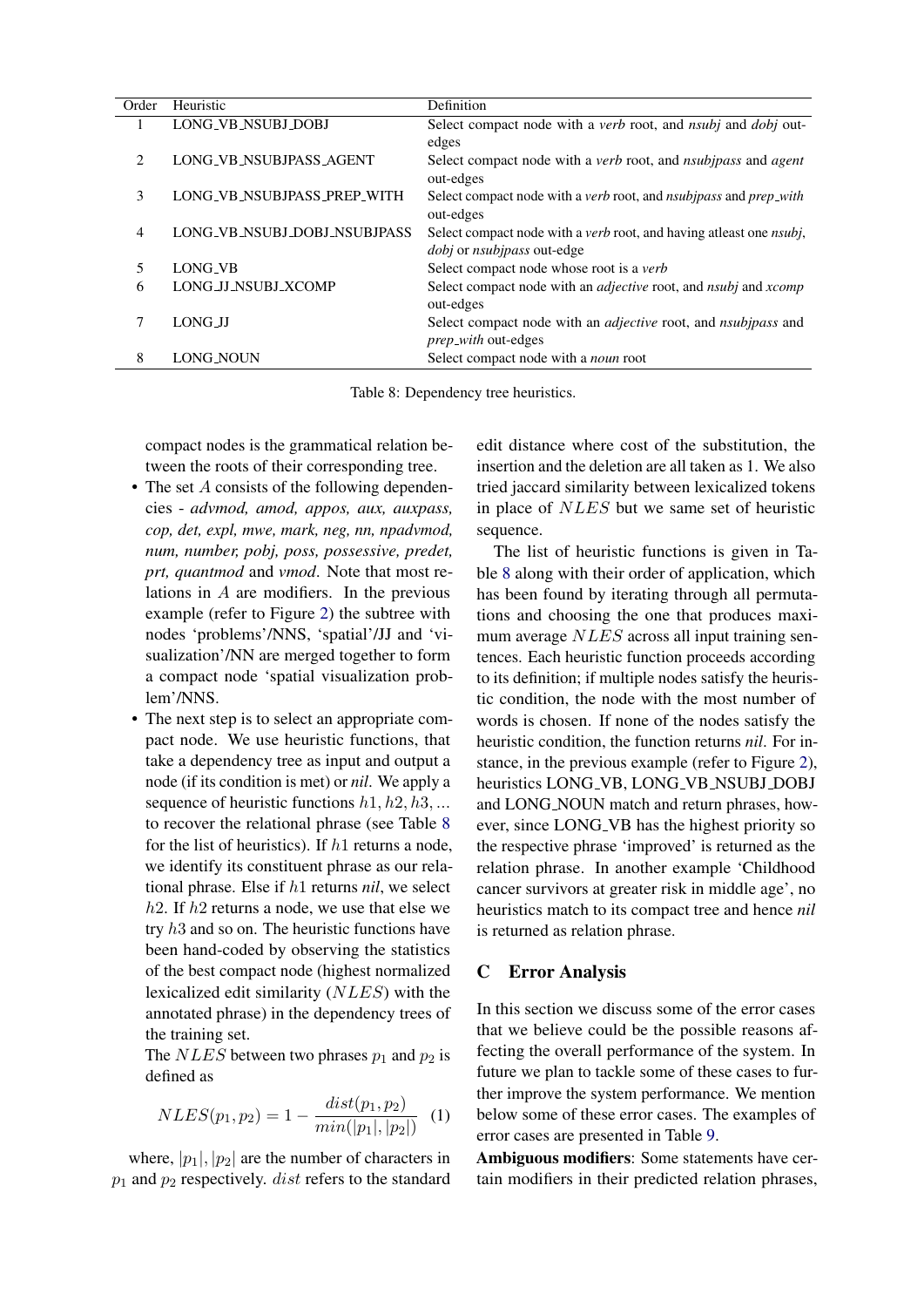<span id="page-10-0"></span>

| Order        | Heuristic                    | Definition                                                                           |
|--------------|------------------------------|--------------------------------------------------------------------------------------|
| $\mathbf{I}$ | LONG_VB_NSUBJ_DOBJ           | Select compact node with a <i>verb</i> root, and <i>nsubj</i> and <i>dobj</i> out-   |
|              |                              | edges                                                                                |
| 2            | LONG_VB_NSUBJPASS_AGENT      | Select compact node with a <i>verb</i> root, and <i>nsubipass</i> and <i>agent</i>   |
|              |                              | out-edges                                                                            |
| 3            | LONG_VB_NSUBJPASS_PREP_WITH  | Select compact node with a verb root, and nsubjpass and prep_with                    |
|              |                              | out-edges                                                                            |
| 4            | LONG_VB_NSUBJ_DOBJ_NSUBJPASS | Select compact node with a <i>verb</i> root, and having at least one <i>nsubj</i> ,  |
|              |                              | <i>dobj</i> or <i>nsubjpass</i> out-edge                                             |
| 5            | LONG VB                      | Select compact node whose root is a verb                                             |
| 6            | LONG_JJ_NSUBJ_XCOMP          | Select compact node with an <i>adjective</i> root, and <i>nsubj</i> and <i>xcomp</i> |
|              |                              | out-edges                                                                            |
| 7            | LONG JJ                      | Select compact node with an <i>adjective</i> root, and <i>nsubjpass</i> and          |
|              |                              | <i>prep_with</i> out-edges                                                           |
| 8            | <b>LONG_NOUN</b>             | Select compact node with a noun root                                                 |

Table 8: Dependency tree heuristics.

compact nodes is the grammatical relation between the roots of their corresponding tree.

- The set A consists of the following dependencies - *advmod, amod, appos, aux, auxpass, cop, det, expl, mwe, mark, neg, nn, npadvmod, num, number, pobj, poss, possessive, predet, prt, quantmod* and *vmod*. Note that most relations in A are modifiers. In the previous example (refer to Figure [2\)](#page-11-0) the subtree with nodes 'problems'/NNS, 'spatial'/JJ and 'visualization'/NN are merged together to form a compact node 'spatial visualization problem'/NNS.
- The next step is to select an appropriate compact node. We use heuristic functions, that take a dependency tree as input and output a node (if its condition is met) or *nil*. We apply a sequence of heuristic functions  $h1, h2, h3, \dots$ to recover the relational phrase (see Table [8](#page-10-0) for the list of heuristics). If  $h1$  returns a node, we identify its constituent phrase as our relational phrase. Else if h1 returns *nil*, we select  $h2$ . If  $h2$  returns a node, we use that else we try h3 and so on. The heuristic functions have been hand-coded by observing the statistics of the best compact node (highest normalized lexicalized edit similarity (NLES) with the annotated phrase) in the dependency trees of the training set.

The *NLES* between two phrases  $p_1$  and  $p_2$  is defined as

$$
NLES(p_1, p_2) = 1 - \frac{dist(p_1, p_2)}{min(|p_1|, |p_2|)} \quad (1)
$$

where,  $|p_1|, |p_2|$  are the number of characters in  $p_1$  and  $p_2$  respectively. *dist* refers to the standard

edit distance where cost of the substitution, the insertion and the deletion are all taken as 1. We also tried jaccard similarity between lexicalized tokens in place of NLES but we same set of heuristic sequence.

The list of heuristic functions is given in Table [8](#page-10-0) along with their order of application, which has been found by iterating through all permutations and choosing the one that produces maximum average NLES across all input training sentences. Each heuristic function proceeds according to its definition; if multiple nodes satisfy the heuristic condition, the node with the most number of words is chosen. If none of the nodes satisfy the heuristic condition, the function returns *nil*. For instance, in the previous example (refer to Figure [2\)](#page-11-0), heuristics LONG\_VB, LONG\_VB\_NSUBJ\_DOBJ and LONG NOUN match and return phrases, however, since LONG VB has the highest priority so the respective phrase 'improved' is returned as the relation phrase. In another example 'Childhood cancer survivors at greater risk in middle age', no heuristics match to its compact tree and hence *nil* is returned as relation phrase.

#### C Error Analysis

In this section we discuss some of the error cases that we believe could be the possible reasons affecting the overall performance of the system. In future we plan to tackle some of these cases to further improve the system performance. We mention below some of these error cases. The examples of error cases are presented in Table [9.](#page-11-1)

Ambiguous modifiers: Some statements have certain modifiers in their predicted relation phrases,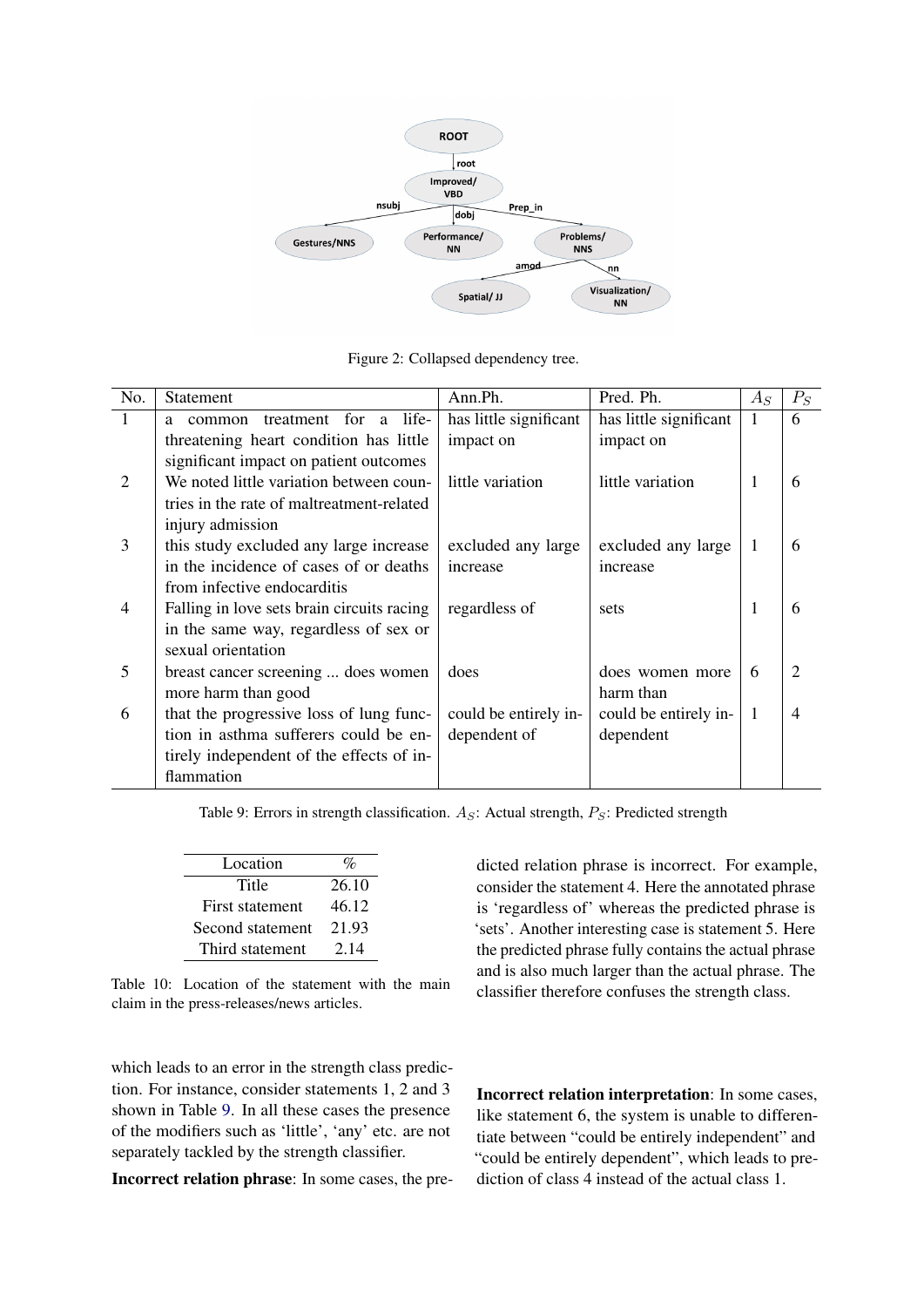<span id="page-11-0"></span>

Figure 2: Collapsed dependency tree.

<span id="page-11-1"></span>

| No.            | <b>Statement</b>                           | Ann.Ph.                | Pred. Ph.              | $A_S$        | $P_S$                       |
|----------------|--------------------------------------------|------------------------|------------------------|--------------|-----------------------------|
| 1              | life-<br>treatment for<br>a<br>common<br>a | has little significant | has little significant |              | 6                           |
|                | threatening heart condition has little     | impact on              | impact on              |              |                             |
|                | significant impact on patient outcomes     |                        |                        |              |                             |
| $\overline{2}$ | We noted little variation between coun-    | little variation       | little variation       | 1            | 6                           |
|                | tries in the rate of maltreatment-related  |                        |                        |              |                             |
|                | injury admission                           |                        |                        |              |                             |
| 3              | this study excluded any large increase     | excluded any large     | excluded any large     | $\mathbf{1}$ | 6                           |
|                | in the incidence of cases of or deaths     | increase               | increase               |              |                             |
|                | from infective endocarditis                |                        |                        |              |                             |
| $\overline{4}$ | Falling in love sets brain circuits racing | regardless of          | sets                   | 1            | 6                           |
|                | in the same way, regardless of sex or      |                        |                        |              |                             |
|                | sexual orientation                         |                        |                        |              |                             |
| 5              | breast cancer screening  does women        | does                   | does women more        | 6            | $\mathcal{D}_{\mathcal{L}}$ |
|                | more harm than good                        |                        | harm than              |              |                             |
| 6              | that the progressive loss of lung func-    | could be entirely in-  | could be entirely in-  | $\mathbf{1}$ | $\overline{4}$              |
|                | tion in asthma sufferers could be en-      | dependent of           | dependent              |              |                             |
|                | tirely independent of the effects of in-   |                        |                        |              |                             |
|                | flammation                                 |                        |                        |              |                             |

Table 9: Errors in strength classification.  $A_S$ : Actual strength,  $P_S$ : Predicted strength

<span id="page-11-2"></span>

| Location         | $O_{\mathcal{L}}$ |
|------------------|-------------------|
| Title            | 26.10             |
| First statement  | 46.12             |
| Second statement | 21.93             |
| Third statement  | 2.14              |

Table 10: Location of the statement with the main claim in the press-releases/news articles.

which leads to an error in the strength class prediction. For instance, consider statements 1, 2 and 3 shown in Table [9.](#page-11-1) In all these cases the presence of the modifiers such as 'little', 'any' etc. are not separately tackled by the strength classifier.

Incorrect relation phrase: In some cases, the pre-

dicted relation phrase is incorrect. For example, consider the statement 4. Here the annotated phrase is 'regardless of' whereas the predicted phrase is 'sets'. Another interesting case is statement 5. Here the predicted phrase fully contains the actual phrase and is also much larger than the actual phrase. The classifier therefore confuses the strength class.

Incorrect relation interpretation: In some cases, like statement 6, the system is unable to differentiate between "could be entirely independent" and "could be entirely dependent", which leads to prediction of class 4 instead of the actual class 1.